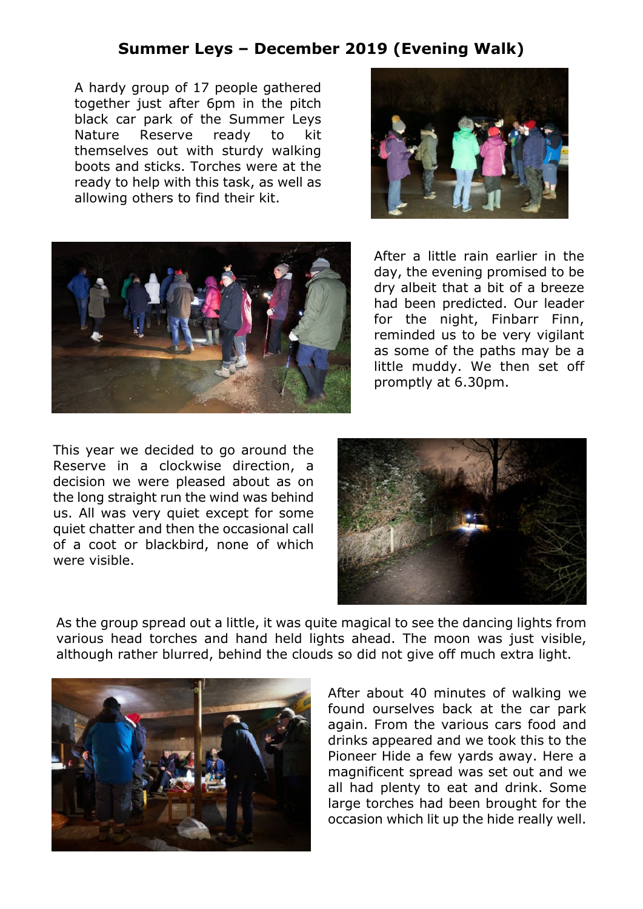## **Summer Leys – December 2019 (Evening Walk)**

A hardy group of 17 people gathered together just after 6pm in the pitch black car park of the Summer Leys Nature Reserve ready to kit themselves out with sturdy walking boots and sticks. Torches were at the ready to help with this task, as well as allowing others to find their kit.





After a little rain earlier in the day, the evening promised to be dry albeit that a bit of a breeze had been predicted. Our leader for the night, Finbarr Finn, reminded us to be very vigilant as some of the paths may be a little muddy. We then set off promptly at 6.30pm.

This year we decided to go around the Reserve in a clockwise direction, a decision we were pleased about as on the long straight run the wind was behind us. All was very quiet except for some quiet chatter and then the occasional call of a coot or blackbird, none of which were visible.



As the group spread out a little, it was quite magical to see the dancing lights from various head torches and hand held lights ahead. The moon was just visible, although rather blurred, behind the clouds so did not give off much extra light.



After about 40 minutes of walking we found ourselves back at the car park again. From the various cars food and drinks appeared and we took this to the Pioneer Hide a few yards away. Here a magnificent spread was set out and we all had plenty to eat and drink. Some large torches had been brought for the occasion which lit up the hide really well.